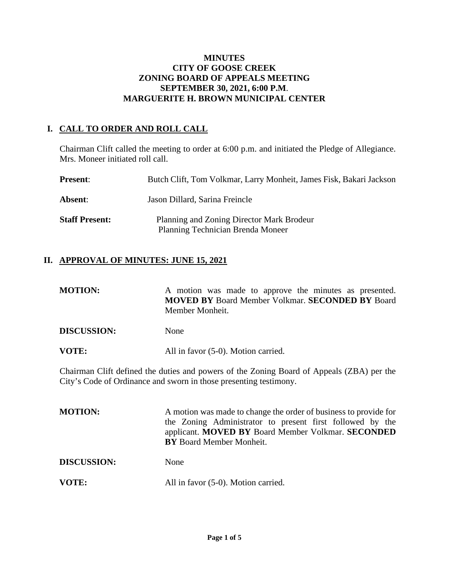#### **MINUTES CITY OF GOOSE CREEK ZONING BOARD OF APPEALS MEETING SEPTEMBER 30, 2021, 6:00 P.M**. **MARGUERITE H. BROWN MUNICIPAL CENTER**

# **I. CALL TO ORDER AND ROLL CALL**

Chairman Clift called the meeting to order at 6:00 p.m. and initiated the Pledge of Allegiance. Mrs. Moneer initiated roll call.

| <b>Present:</b>       | Butch Clift, Tom Volkmar, Larry Monheit, James Fisk, Bakari Jackson                   |
|-----------------------|---------------------------------------------------------------------------------------|
| <b>Absent:</b>        | Jason Dillard, Sarina Freincle                                                        |
| <b>Staff Present:</b> | Planning and Zoning Director Mark Brodeur<br><b>Planning Technician Brenda Moneer</b> |

# **II. APPROVAL OF MINUTES: JUNE 15, 2021**

| <b>MOTION:</b>     | A motion was made to approve the minutes as presented.<br><b>MOVED BY Board Member Volkmar. SECONDED BY Board</b><br>Member Monheit. |
|--------------------|--------------------------------------------------------------------------------------------------------------------------------------|
| <b>DISCUSSION:</b> | None                                                                                                                                 |
| VOTE:              | All in favor (5-0). Motion carried.                                                                                                  |

Chairman Clift defined the duties and powers of the Zoning Board of Appeals (ZBA) per the City's Code of Ordinance and sworn in those presenting testimony.

| <b>MOTION:</b>     | A motion was made to change the order of business to provide for<br>the Zoning Administrator to present first followed by the<br>applicant. MOVED BY Board Member Volkmar. SECONDED<br><b>BY</b> Board Member Monheit. |
|--------------------|------------------------------------------------------------------------------------------------------------------------------------------------------------------------------------------------------------------------|
| <b>DISCUSSION:</b> | None                                                                                                                                                                                                                   |
| VOTE:              | All in favor (5-0). Motion carried.                                                                                                                                                                                    |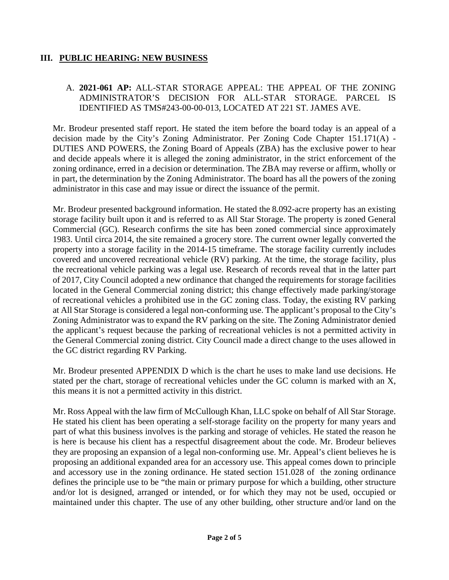### **III. PUBLIC HEARING: NEW BUSINESS**

#### A. **2021-061 AP:** ALL-STAR STORAGE APPEAL: THE APPEAL OF THE ZONING ADMINISTRATOR'S DECISION FOR ALL-STAR STORAGE. PARCEL IS IDENTIFIED AS TMS#243-00-00-013, LOCATED AT 221 ST. JAMES AVE.

Mr. Brodeur presented staff report. He stated the item before the board today is an appeal of a decision made by the City's Zoning Administrator. Per Zoning Code Chapter 151.171(A) - DUTIES AND POWERS, the Zoning Board of Appeals (ZBA) has the exclusive power to hear and decide appeals where it is alleged the zoning administrator, in the strict enforcement of the zoning ordinance, erred in a decision or determination. The ZBA may reverse or affirm, wholly or in part, the determination by the Zoning Administrator. The board has all the powers of the zoning administrator in this case and may issue or direct the issuance of the permit.

Mr. Brodeur presented background information. He stated the 8.092-acre property has an existing storage facility built upon it and is referred to as All Star Storage. The property is zoned General Commercial (GC). Research confirms the site has been zoned commercial since approximately 1983. Until circa 2014, the site remained a grocery store. The current owner legally converted the property into a storage facility in the 2014-15 timeframe. The storage facility currently includes covered and uncovered recreational vehicle (RV) parking. At the time, the storage facility, plus the recreational vehicle parking was a legal use. Research of records reveal that in the latter part of 2017, City Council adopted a new ordinance that changed the requirements for storage facilities located in the General Commercial zoning district; this change effectively made parking/storage of recreational vehicles a prohibited use in the GC zoning class. Today, the existing RV parking at All Star Storage is considered a legal non-conforming use. The applicant's proposal to the City's Zoning Administrator was to expand the RV parking on the site. The Zoning Administrator denied the applicant's request because the parking of recreational vehicles is not a permitted activity in the General Commercial zoning district. City Council made a direct change to the uses allowed in the GC district regarding RV Parking.

Mr. Brodeur presented APPENDIX D which is the chart he uses to make land use decisions. He stated per the chart, storage of recreational vehicles under the GC column is marked with an X, this means it is not a permitted activity in this district.

Mr. Ross Appeal with the law firm of McCullough Khan, LLC spoke on behalf of All Star Storage. He stated his client has been operating a self-storage facility on the property for many years and part of what this business involves is the parking and storage of vehicles. He stated the reason he is here is because his client has a respectful disagreement about the code. Mr. Brodeur believes they are proposing an expansion of a legal non-conforming use. Mr. Appeal's client believes he is proposing an additional expanded area for an accessory use. This appeal comes down to principle and accessory use in the zoning ordinance. He stated section 151.028 of the zoning ordinance defines the principle use to be "the main or primary purpose for which a building, other structure and/or lot is designed, arranged or intended, or for which they may not be used, occupied or maintained under this chapter. The use of any other building, other structure and/or land on the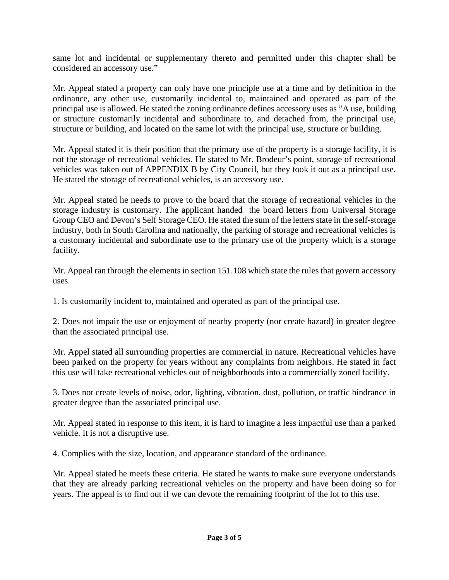same lot and incidental or supplementary thereto and permitted under this chapter shall be considered an accessory use."

Mr. Appeal stated a property can only have one principle use at a time and by definition in the ordinance, any other use, customarily incidental to, maintained and operated as part of the principal use is allowed. He stated the zoning ordinance defines accessory uses as "A use, building or structure customarily incidental and subordinate to, and detached from, the principal use, structure or building, and located on the same lot with the principal use, structure or building.

Mr. Appeal stated it is their position that the primary use of the property is a storage facility, it is not the storage of recreational vehicles. He stated to Mr. Brodeur's point, storage of recreational vehicles was taken out of APPENDIX B by City Council, but they took it out as a principal use. He stated the storage of recreational vehicles, is an accessory use.

Mr. Appeal stated he needs to prove to the board that the storage of recreational vehicles in the storage industry is customary. The applicant handed the board letters from Universal Storage Group CEO and Devon's Self Storage CEO. He stated the sum of the letters state in the self-storage industry, both in South Carolina and nationally, the parking of storage and recreational vehicles is a customary incidental and subordinate use to the primary use of the property which is a storage facility.

Mr. Appeal ran through the elements in section 151.108 which state the rules that govern accessory uses.

1. Is customarily incident to, maintained and operated as part of the principal use.

2. Does not impair the use or enjoyment of nearby property (nor create hazard) in greater degree than the associated principal use.

Mr. Appel stated all surrounding properties are commercial in nature. Recreational vehicles have been parked on the property for years without any complaints from neighbors. He stated in fact this use will take recreational vehicles out of neighborhoods into a commercially zoned facility.

3. Does not create levels of noise, odor, lighting, vibration, dust, pollution, or traffic hindrance in greater degree than the associated principal use.

Mr. Appeal stated in response to this item, it is hard to imagine a less impactful use than a parked vehicle. It is not a disruptive use.

4. Complies with the size, location, and appearance standard of the ordinance.

Mr. Appeal stated he meets these criteria. He stated he wants to make sure everyone understands that they are already parking recreational vehicles on the property and have been doing so for years. The appeal is to find out if we can devote the remaining footprint of the lot to this use.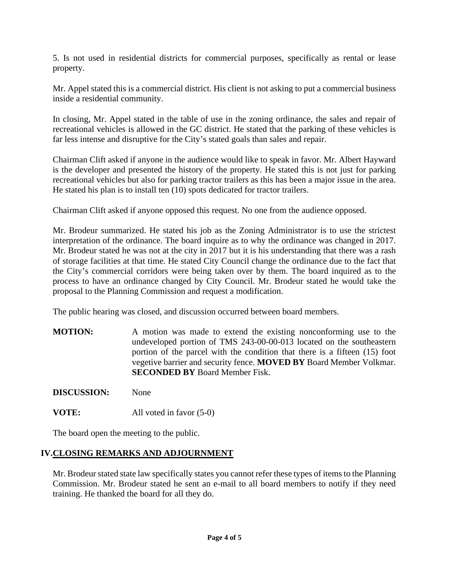5. Is not used in residential districts for commercial purposes, specifically as rental or lease property.

Mr. Appel stated this is a commercial district. His client is not asking to put a commercial business inside a residential community.

In closing, Mr. Appel stated in the table of use in the zoning ordinance, the sales and repair of recreational vehicles is allowed in the GC district. He stated that the parking of these vehicles is far less intense and disruptive for the City's stated goals than sales and repair.

Chairman Clift asked if anyone in the audience would like to speak in favor. Mr. Albert Hayward is the developer and presented the history of the property. He stated this is not just for parking recreational vehicles but also for parking tractor trailers as this has been a major issue in the area. He stated his plan is to install ten (10) spots dedicated for tractor trailers.

Chairman Clift asked if anyone opposed this request. No one from the audience opposed.

Mr. Brodeur summarized. He stated his job as the Zoning Administrator is to use the strictest interpretation of the ordinance. The board inquire as to why the ordinance was changed in 2017. Mr. Brodeur stated he was not at the city in 2017 but it is his understanding that there was a rash of storage facilities at that time. He stated City Council change the ordinance due to the fact that the City's commercial corridors were being taken over by them. The board inquired as to the process to have an ordinance changed by City Council. Mr. Brodeur stated he would take the proposal to the Planning Commission and request a modification.

The public hearing was closed, and discussion occurred between board members.

**MOTION:** A motion was made to extend the existing nonconforming use to the undeveloped portion of TMS 243-00-00-013 located on the southeastern portion of the parcel with the condition that there is a fifteen (15) foot vegetive barrier and security fence. **MOVED BY** Board Member Volkmar. **SECONDED BY** Board Member Fisk.

**DISCUSSION:** None

**VOTE:** All voted in favor (5-0)

The board open the meeting to the public.

# **IV.CLOSING REMARKS AND ADJOURNMENT**

Mr. Brodeur stated state law specifically states you cannot refer these types of items to the Planning Commission. Mr. Brodeur stated he sent an e-mail to all board members to notify if they need training. He thanked the board for all they do.